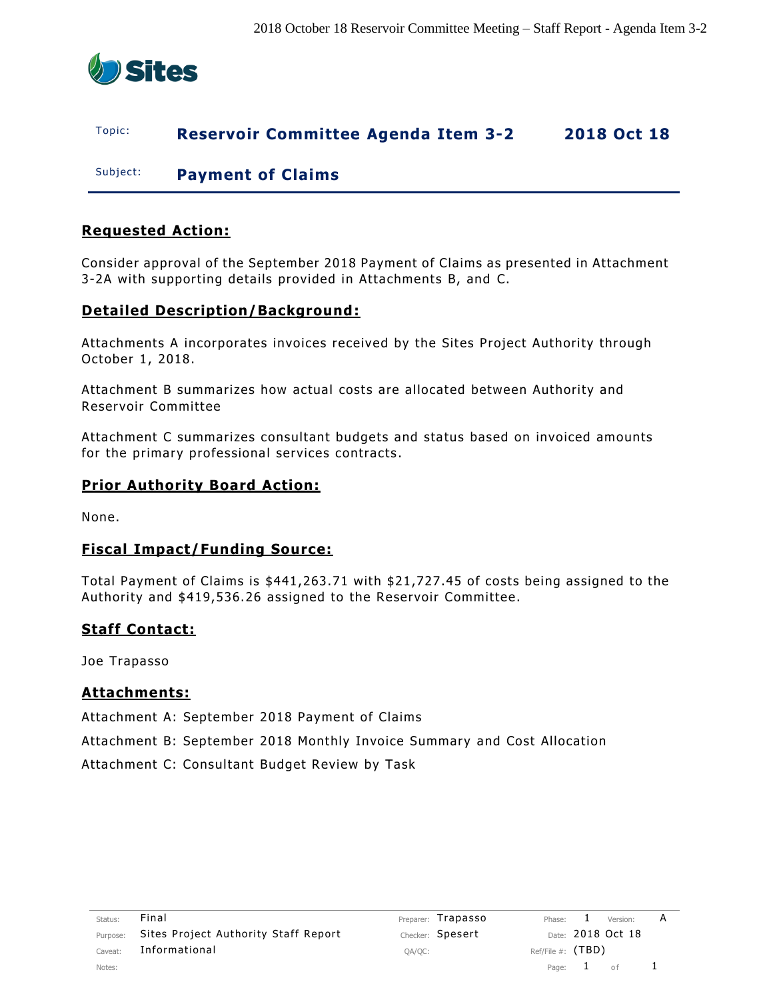

# Topic: **Reservoir Committee Agenda Item 3-2 2018 Oct 18**

Subject: **Payment of Claims**

# **Requested Action:**

Consider approval of the September 2018 Payment of Claims as presented in Attachment 3-2A with supporting details provided in Attachments B, and C.

# **Detailed Description/Background:**

Attachments A incorporates invoices received by the Sites Project Authority through October 1, 2018.

Attachment B summarizes how actual costs are allocated between Authority and Reservoir Committee

Attachment C summarizes consultant budgets and status based on invoiced amounts for the primary professional services contracts .

### **Prior Authority Board Action:**

None.

### **Fiscal Impact/Funding Source:**

Total Payment of Claims is \$441,263.71 with \$21,727.45 of costs being assigned to the Authority and \$419,536.26 assigned to the Reservoir Committee.

### **Staff Contact:**

Joe Trapasso

### **Attachments:**

Attachment A: September 2018 Payment of Claims

Attachment B: September 2018 Monthly Invoice Summary and Cost Allocation

Attachment C: Consultant Budget Review by Task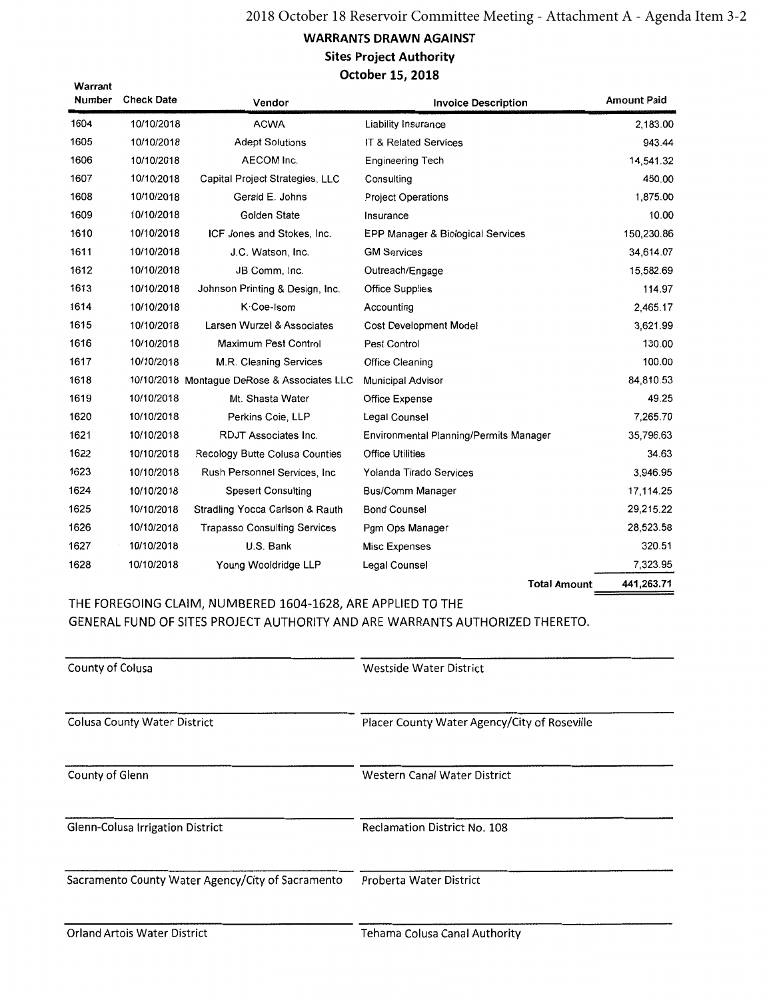### **WARRANTS DRAWN AGAINST Sites Project Authority** October 15, 2018

| warrant<br>Number | <b>Check Date</b> | Vendor                                      | <b>Invoice Description</b>             | <b>Amount Paid</b> |
|-------------------|-------------------|---------------------------------------------|----------------------------------------|--------------------|
| 1604              | 10/10/2018        | <b>ACWA</b>                                 | Liability Insurance                    | 2,183.00           |
| 1605              | 10/10/2018        | <b>Adept Solutions</b>                      | IT & Related Services                  | 943.44             |
| 1606              | 10/10/2018        | AECOM Inc.                                  | <b>Engineering Tech</b>                | 14,541.32          |
| 1607              | 10/10/2018        | Capital Project Strategies, LLC             | Consulting                             | 450.00             |
| 1608              | 10/10/2018        | Gerald E. Johns                             | <b>Project Operations</b>              | 1,875.00           |
| 1609              | 10/10/2018        | Golden State                                | Insurance                              | 10.00              |
| 1610              | 10/10/2018        | ICF Jones and Stokes, Inc.                  | EPP Manager & Biological Services      | 150,230.86         |
| 1611              | 10/10/2018        | J.C. Watson, Inc.                           | <b>GM Services</b>                     | 34,614.07          |
| 1612              | 10/10/2018        | JB Comm, Inc.                               | Outreach/Engage                        | 15,582.69          |
| 1613              | 10/10/2018        | Johnson Printing & Design, Inc.             | <b>Office Supplies</b>                 | 114.97             |
| 1614              | 10/10/2018        | K Coe-Isom                                  | Accounting                             | 2,465.17           |
| 1615              | 10/10/2018        | Larsen Wurzel & Associates                  | <b>Cost Development Model</b>          | 3,621.99           |
| 1616              | 10/10/2018        | Maximum Pest Control                        | Pest Control                           | 130.00             |
| 1617              | 10/10/2018        | M.R. Cleaning Services                      | <b>Office Cleaning</b>                 | 100.00             |
| 1618              |                   | 10/10/2018 Montague DeRose & Associates LLC | <b>Municipal Advisor</b>               | 84,810.53          |
| 1619              | 10/10/2018        | Mt. Shasta Water                            | Office Expense                         | 49.25              |
| 1620              | 10/10/2018        | Perkins Coie, LLP                           | Legal Counsel                          | 7,265.70           |
| 1621              | 10/10/2018        | <b>RDJT Associates Inc.</b>                 | Environmental Planning/Permits Manager | 35,796.63          |
| 1622              | 10/10/2018        | Recology Butte Colusa Counties              | <b>Office Utilities</b>                | 34.63              |
| 1623              | 10/10/2018        | Rush Personnel Services, Inc.               | Yolanda Tirado Services                | 3,946.95           |
| 1624              | 10/10/2018        | <b>Spesert Consulting</b>                   | <b>Bus/Comm Manager</b>                | 17,114.25          |
| 1625              | 10/10/2018        | Stradling Yocca Carlson & Rauth             | <b>Bond Counsel</b>                    | 29,215.22          |
| 1626              | 10/10/2018        | <b>Trapasso Consulting Services</b>         | Pgm Ops Manager                        | 28,523.58          |
| 1627              | 10/10/2018        | U.S. Bank                                   | Misc Expenses                          | 320.51             |
| 1628              | 10/10/2018        | Young Wooldridge LLP                        | Legal Counsel                          | 7,323.95           |
|                   |                   |                                             | <b>Total Amount</b>                    | 441,263.71         |

THE FOREGOING CLAIM, NUMBERED 1604-1628, ARE APPLIED TO THE GENERAL FUND OF SITES PROJECT AUTHORITY AND ARE WARRANTS AUTHORIZED THERETO.

| County of Colusa                                  | <b>Westside Water District</b>               |
|---------------------------------------------------|----------------------------------------------|
| <b>Colusa County Water District</b>               | Placer County Water Agency/City of Roseville |
| County of Glenn                                   | Western Canal Water District                 |
| <b>Glenn-Colusa Irrigation District</b>           | <b>Reclamation District No. 108</b>          |
| Sacramento County Water Agency/City of Sacramento | Proberta Water District                      |
| _ _ _ _ _ _ _ _ _ _ _ _ _                         |                                              |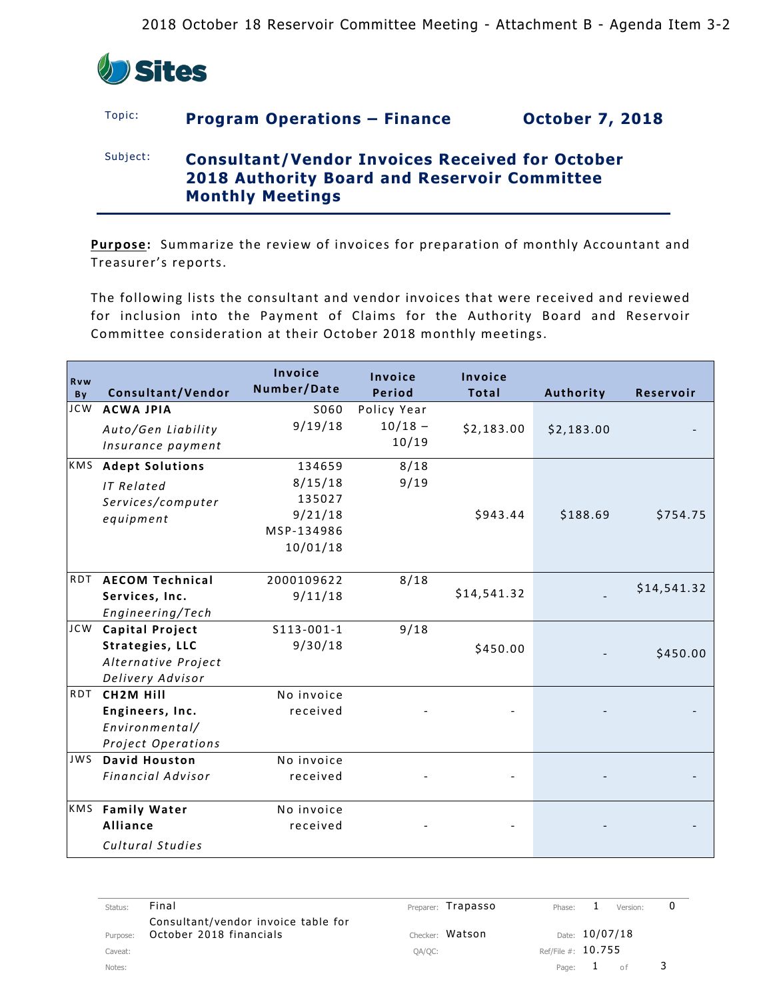

# Topic: **Program Operations – Finance October 7, 2018**

# Subject: **Consultant/Vendor Invoices Received for October 2018 Authority Board and Reservoir Committee Monthly Meetings**

**Purpose:** Summarize the review of invoices for preparation of monthly Accountant and Treasurer's reports.

The following lists the consultant and vendor invoices that were received and reviewed for inclusion into the Payment of Claims for the Authority Board and Reservoir Committee consideration at their October 2018 monthly meetings.

| <b>Rvw</b><br>By | Consultant/Vendor                                                                    | Invoice<br>Number/Date                                           | Invoice<br><b>Period</b>          | Invoice<br><b>Total</b> | Authority  | <b>Reservoir</b> |
|------------------|--------------------------------------------------------------------------------------|------------------------------------------------------------------|-----------------------------------|-------------------------|------------|------------------|
| <b>JCW</b>       | <b>ACWA JPIA</b><br>Auto/Gen Liability<br>Insurance payment                          | S060<br>9/19/18                                                  | Policy Year<br>$10/18 -$<br>10/19 | \$2,183.00              | \$2,183.00 |                  |
|                  | KMS Adept Solutions<br><b>IT Related</b><br>Services/computer<br>equipment           | 134659<br>8/15/18<br>135027<br>9/21/18<br>MSP-134986<br>10/01/18 | 8/18<br>9/19                      | \$943.44                | \$188.69   | \$754.75         |
|                  | RDT AECOM Technical<br>Services, Inc.<br>Engineering/Tech                            | 2000109622<br>9/11/18                                            | 8/18                              | \$14,541.32             |            | \$14,541.32      |
| <b>JCW</b>       | <b>Capital Project</b><br>Strategies, LLC<br>Alternative Project<br>Delivery Advisor | $S113 - 001 - 1$<br>9/30/18                                      | 9/18                              | \$450.00                |            | \$450.00         |
|                  | RDT CH2M Hill<br>Engineers, Inc.<br>Environmental/<br>Project Operations             | No invoice<br>received                                           |                                   |                         |            |                  |
| <b>JWS</b>       | <b>David Houston</b><br>Financial Advisor                                            | No invoice<br>received                                           |                                   |                         |            |                  |
| KMS              | <b>Family Water</b><br>Alliance<br>Cultural Studies                                  | No invoice<br>received                                           |                                   |                         |            |                  |

| Status:  | Final                                                          | Preparer: Trapasso | Phase:               |                | Version: | υ |
|----------|----------------------------------------------------------------|--------------------|----------------------|----------------|----------|---|
| Purpose: | Consultant/vendor invoice table for<br>October 2018 financials | Checker: Watson    |                      | Date: 10/07/18 |          |   |
| Caveat:  |                                                                | QA/QC:             | Ref/File #: $10.755$ |                |          |   |
| Notes:   |                                                                |                    |                      | Page: $1$      | of       |   |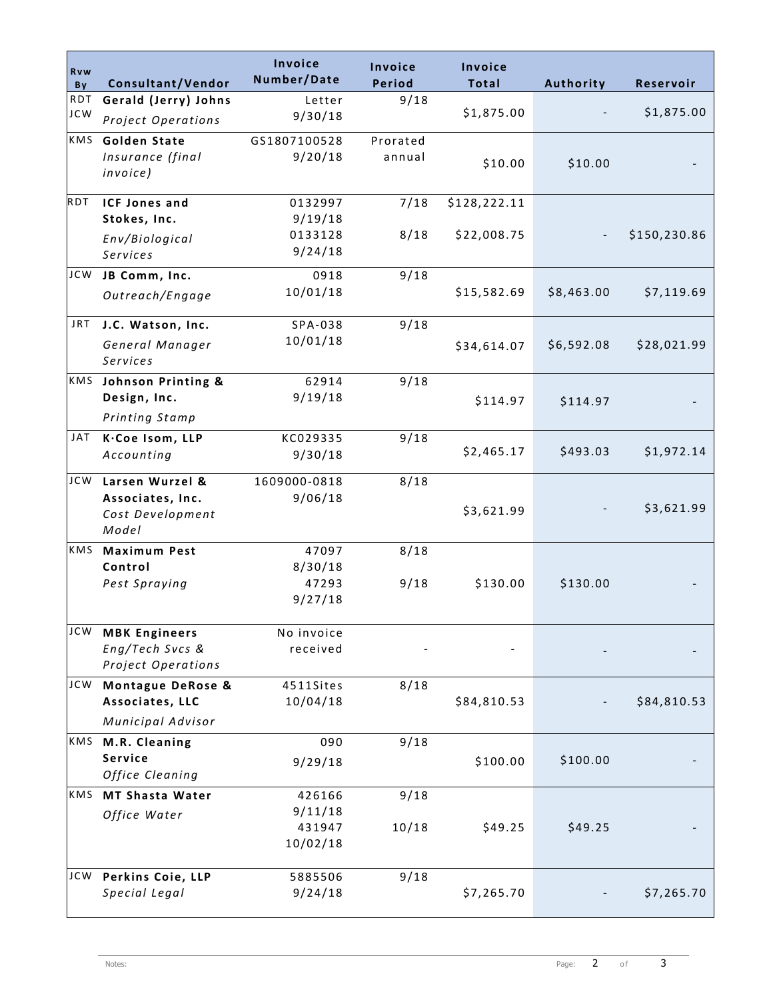| Rvw<br>By  | Consultant/Vendor      | Invoice<br>Number/Date | <b>Invoice</b><br>Period | <b>Invoice</b><br>Total | Authority  | Reservoir    |
|------------|------------------------|------------------------|--------------------------|-------------------------|------------|--------------|
| <b>RDT</b> | Gerald (Jerry) Johns   | Letter                 | 9/18                     |                         |            |              |
| <b>JCW</b> | Project Operations     | 9/30/18                |                          | \$1,875.00              |            | \$1,875.00   |
| KMS        | <b>Golden State</b>    | GS1807100528           | Prorated                 |                         |            |              |
|            | Insurance (final       | 9/20/18                | annual                   | \$10.00                 | \$10.00    |              |
|            | invoice)               |                        |                          |                         |            |              |
| RDT        | <b>ICF Jones and</b>   | 0132997                | 7/18                     | \$128,222.11            |            |              |
|            | Stokes, Inc.           | 9/19/18                |                          |                         |            |              |
|            | Env/Biological         | 0133128                | 8/18                     | \$22,008.75             |            | \$150,230.86 |
|            | Services               | 9/24/18                |                          |                         |            |              |
| <b>JCW</b> | JB Comm, Inc.          | 0918                   | 9/18                     |                         |            |              |
|            | Outreach/Engage        | 10/01/18               |                          | \$15,582.69             | \$8,463.00 | \$7,119.69   |
|            |                        |                        |                          |                         |            |              |
| JRT.       | J.C. Watson, Inc.      | SPA-038                | 9/18                     |                         |            |              |
|            | General Manager        | 10/01/18               |                          | \$34,614.07             | \$6,592.08 | \$28,021.99  |
|            | Services               |                        |                          |                         |            |              |
|            | KMS Johnson Printing & | 62914                  | 9/18                     |                         |            |              |
|            | Design, Inc.           | 9/19/18                |                          | \$114.97                | \$114.97   |              |
|            | Printing Stamp         |                        |                          |                         |            |              |
| JAT        | K.Coe Isom, LLP        | KC029335               | 9/18                     |                         |            |              |
|            | Accounting             | 9/30/18                |                          | \$2,465.17              | \$493.03   | \$1,972.14   |
| <b>JCW</b> | Larsen Wurzel &        | 1609000-0818           | 8/18                     |                         |            |              |
|            | Associates, Inc.       | 9/06/18                |                          |                         |            |              |
|            | Cost Development       |                        |                          | \$3,621.99              |            | \$3,621.99   |
|            | Model                  |                        |                          |                         |            |              |
| KMS        | <b>Maximum Pest</b>    | 47097                  | 8/18                     |                         |            |              |
|            | Control                | 8/30/18                |                          |                         |            |              |
|            | Pest Spraying          | 47293<br>9/27/18       | 9/18                     | \$130.00                | \$130.00   |              |
|            |                        |                        |                          |                         |            |              |
| JCW        | <b>MBK Engineers</b>   | No invoice             |                          |                         |            |              |
|            | Eng/Tech Svcs &        | received               |                          |                         |            |              |
|            | Project Operations     |                        |                          |                         |            |              |
| <b>JCW</b> | Montague DeRose &      | 4511Sites              | 8/18                     |                         |            |              |
|            | Associates, LLC        | 10/04/18               |                          | \$84,810.53             |            | \$84,810.53  |
|            | Municipal Advisor      |                        |                          |                         |            |              |
| KMS        | M.R. Cleaning          | 090                    | 9/18                     |                         |            |              |
|            | Service                | 9/29/18                |                          | \$100.00                | \$100.00   |              |
|            | Office Cleaning        |                        |                          |                         |            |              |
| KMS        | <b>MT Shasta Water</b> | 426166                 | 9/18                     |                         |            |              |
|            | Office Water           | 9/11/18<br>431947      | 10/18                    | \$49.25                 | \$49.25    |              |
|            |                        | 10/02/18               |                          |                         |            |              |
|            |                        |                        |                          |                         |            |              |
| <b>JCW</b> | Perkins Coie, LLP      | 5885506                | 9/18                     |                         |            |              |
|            | Special Legal          | 9/24/18                |                          | \$7,265.70              |            | \$7,265.70   |
|            |                        |                        |                          |                         |            |              |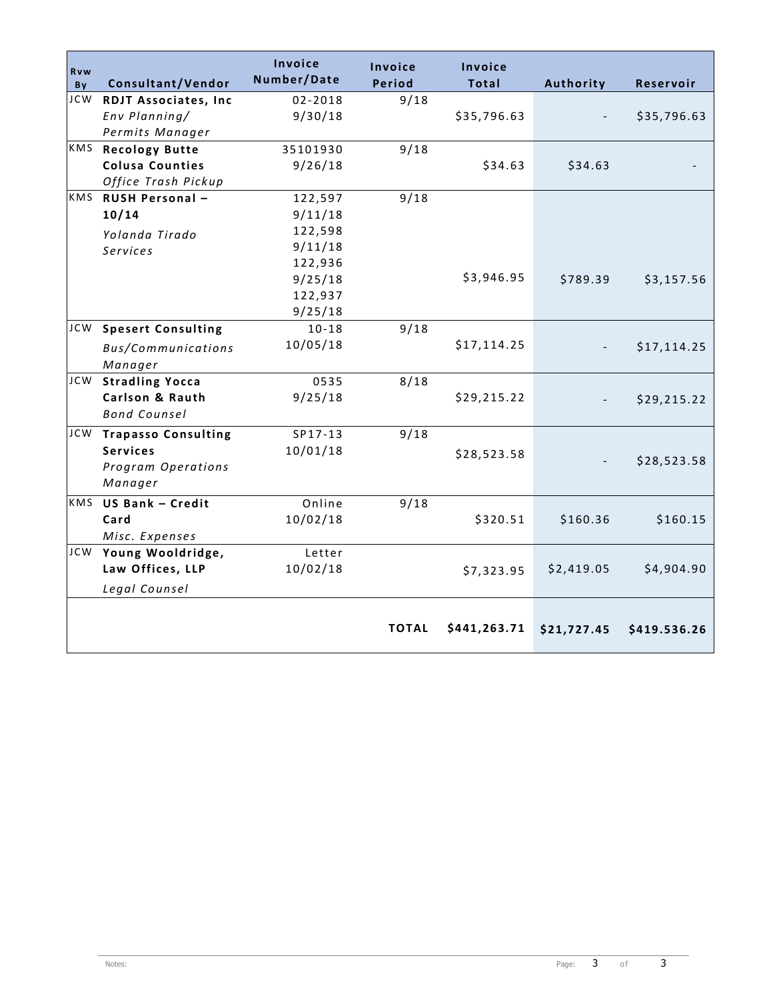| <b>Rvw</b>       |                                                 | Invoice<br>Number/Date | Invoice       | Invoice      |             |              |
|------------------|-------------------------------------------------|------------------------|---------------|--------------|-------------|--------------|
| By<br><b>JCW</b> | Consultant/Vendor                               | $02 - 2018$            | <b>Period</b> | <b>Total</b> | Authority   | Reservoir    |
|                  | <b>RDJT Associates, Inc</b>                     |                        | 9/18          |              |             |              |
|                  | Env Planning/                                   | 9/30/18                |               | \$35,796.63  |             | \$35,796.63  |
| KMS              | Permits Manager                                 |                        |               |              |             |              |
|                  | <b>Recology Butte</b><br><b>Colusa Counties</b> | 35101930               | 9/18          |              |             |              |
|                  |                                                 | 9/26/18                |               | \$34.63      | \$34.63     |              |
|                  | Office Trash Pickup                             |                        |               |              |             |              |
|                  | KMS RUSH Personal -                             | 122,597                | 9/18          |              |             |              |
|                  | 10/14                                           | 9/11/18                |               |              |             |              |
|                  | Yolanda Tirado                                  | 122,598                |               |              |             |              |
|                  | Services                                        | 9/11/18                |               |              |             |              |
|                  |                                                 | 122,936                |               |              |             |              |
|                  |                                                 | 9/25/18                |               | \$3,946.95   | \$789.39    | \$3,157.56   |
|                  |                                                 | 122,937                |               |              |             |              |
|                  |                                                 | 9/25/18                |               |              |             |              |
| JCW              | <b>Spesert Consulting</b>                       | $10 - 18$              | 9/18          |              |             |              |
|                  | Bus/Communications                              | 10/05/18               |               | \$17,114.25  |             | \$17,114.25  |
|                  | Manager                                         |                        |               |              |             |              |
| JCW              | <b>Stradling Yocca</b>                          | 0535                   | 8/18          |              |             |              |
|                  | Carlson & Rauth                                 | 9/25/18                |               | \$29,215.22  |             | \$29,215.22  |
|                  | <b>Bond Counsel</b>                             |                        |               |              |             |              |
|                  | JCW Trapasso Consulting                         | SP17-13                | 9/18          |              |             |              |
|                  | <b>Services</b>                                 | 10/01/18               |               | \$28,523.58  |             |              |
|                  | Program Operations                              |                        |               |              |             | \$28,523.58  |
|                  | Manager                                         |                        |               |              |             |              |
|                  | KMS US Bank - Credit                            | Online                 | 9/18          |              |             |              |
|                  | Card                                            | 10/02/18               |               | \$320.51     | \$160.36    | \$160.15     |
|                  | Misc. Expenses                                  |                        |               |              |             |              |
|                  | JCW Young Wooldridge,                           | Letter                 |               |              |             |              |
|                  |                                                 |                        |               |              |             |              |
|                  | Law Offices, LLP                                | 10/02/18               |               | \$7,323.95   | \$2,419.05  | \$4,904.90   |
|                  | Legal Counsel                                   |                        |               |              |             |              |
|                  |                                                 |                        | <b>TOTAL</b>  | \$441,263.71 | \$21,727.45 | \$419.536.26 |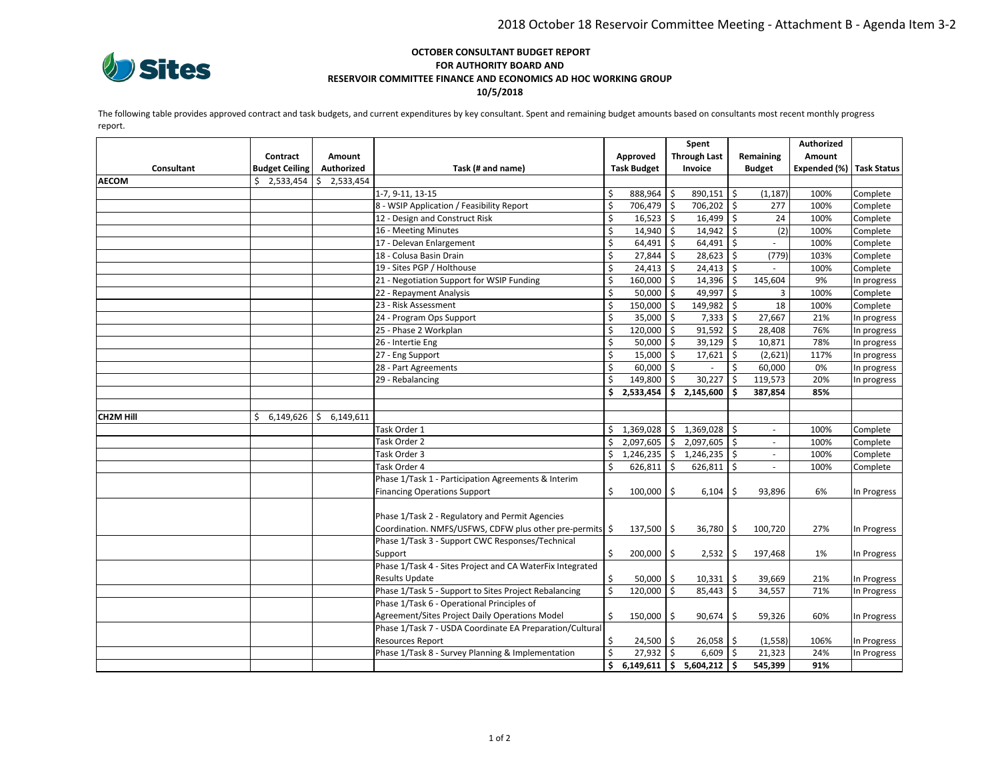

#### **OCTOBER CONSULTANT BUDGET REPORT FOR AUTHORITY BOARD AND RESERVOIR COMMITTEE FINANCE AND ECONOMICS AD HOC WORKING GROUP 10/5/2018**

The following table provides approved contract and task budgets, and current expenditures by key consultant. Spent and remaining budget amounts based on consultants most recent monthly progress report.

|                  |                       |                 |                                                                                                           | Spent   |                                 |               |                  |                           | Authorized    |                          |             |
|------------------|-----------------------|-----------------|-----------------------------------------------------------------------------------------------------------|---------|---------------------------------|---------------|------------------|---------------------------|---------------|--------------------------|-------------|
|                  | Contract              | <b>Amount</b>   |                                                                                                           |         | <b>Through Last</b><br>Approved |               |                  | Remaining                 | Amount        |                          |             |
| Consultant       | <b>Budget Ceiling</b> | Authorized      | Task (# and name)                                                                                         |         | <b>Task Budget</b>              |               | Invoice          |                           | <b>Budget</b> | Expended (%) Task Status |             |
| <b>AECOM</b>     | \$<br>2,533,454       | 2,533,454<br>Ŝ. |                                                                                                           |         |                                 |               |                  |                           |               |                          |             |
|                  |                       |                 | 1-7, 9-11, 13-15                                                                                          | \$      | 888,964                         | l \$          | 890,151 \$       |                           | (1, 187)      | 100%                     | Complete    |
|                  |                       |                 | 8 - WSIP Application / Feasibility Report                                                                 | Ś       | 706,479 \$                      |               | 706,202          | $\boldsymbol{\mathsf{S}}$ | 277           | 100%                     | Complete    |
|                  |                       |                 | 12 - Design and Construct Risk                                                                            | \$      | 16,523                          | $\vert$ \$    | 16,499           | \$                        | 24            | 100%                     | Complete    |
|                  |                       |                 | 16 - Meeting Minutes                                                                                      | \$      | 14,940 \$                       |               | $14,942$ \$      |                           | (2)           | 100%                     | Complete    |
|                  |                       |                 | 17 - Delevan Enlargement                                                                                  | \$      | 64,491                          | l \$          | 64,491           | \$                        |               | 100%                     | Complete    |
|                  |                       |                 | 18 - Colusa Basin Drain                                                                                   | \$      | 27,844                          | l s           | 28,623           | $\mathsf{\dot{S}}$        | (779)         | 103%                     | Complete    |
|                  |                       |                 | 19 - Sites PGP / Holthouse                                                                                | \$      | $24,413$ \$                     |               | 24,413           | \$                        |               | 100%                     | Complete    |
|                  |                       |                 | 21 - Negotiation Support for WSIP Funding                                                                 | \$      | 160,000 \$                      |               | 14,396           | \$                        | 145,604       | 9%                       | In progress |
|                  |                       |                 | 22 - Repayment Analysis                                                                                   | $\zeta$ | 50,000                          | l \$          | 49,997           | \$                        | 3             | 100%                     | Complete    |
|                  |                       |                 | 23 - Risk Assessment                                                                                      | \$      | 150,000 \$                      |               | 149,982          | Ŝ.                        | 18            | 100%                     | Complete    |
|                  |                       |                 | 24 - Program Ops Support                                                                                  | \$      | 35,000                          | l \$          | 7,333            | \$                        | 27,667        | 21%                      | In progress |
|                  |                       |                 | 25 - Phase 2 Workplan                                                                                     | \$      | 120,000                         | I \$          | 91,592           | \$                        | 28,408        | 76%                      | In progress |
|                  |                       |                 | 26 - Intertie Eng                                                                                         | \$      | 50,000                          | l s           | 39,129           | $\mathsf{\hat{S}}$        | 10,871        | 78%                      | In progress |
|                  |                       |                 | 27 - Eng Support                                                                                          | \$      | 15,000                          | l \$          | 17,621           | \$                        | (2,621)       | 117%                     | In progress |
|                  |                       |                 | 28 - Part Agreements                                                                                      | \$      | $60,000$ \$                     |               |                  | Ŝ.                        | 60,000        | 0%                       | In progress |
|                  |                       |                 | 29 - Rebalancing                                                                                          | \$      | 149,800                         | l\$           | 30,227           | \$                        | 119,573       | 20%                      | In progress |
|                  |                       |                 |                                                                                                           | \$      | 2,533,454                       | s.            | 2,145,600        | \$.                       | 387,854       | 85%                      |             |
|                  |                       |                 |                                                                                                           |         |                                 |               |                  |                           |               |                          |             |
| <b>CH2M Hill</b> | \$<br>6,149,626       | 6,149,611<br>\$ |                                                                                                           |         |                                 |               |                  |                           |               |                          |             |
|                  |                       |                 | Task Order 1                                                                                              | \$      | 1,369,028                       | I\$           | 1,369,028        | Ŝ.                        |               | 100%                     | Complete    |
|                  |                       |                 | Task Order 2                                                                                              | \$      | 2,097,605                       | I \$          | 2,097,605 \$     |                           | ÷.            | 100%                     | Complete    |
|                  |                       |                 | Task Order 3                                                                                              | \$      | 1,246,235                       | I\$           | 1,246,235        | \$                        | $\omega$      | 100%                     | Complete    |
|                  |                       |                 | Task Order 4                                                                                              | \$      | 626,811                         | l \$          | 626,811          | \$                        | ÷             | 100%                     | Complete    |
|                  |                       |                 | Phase 1/Task 1 - Participation Agreements & Interim                                                       |         |                                 |               |                  |                           |               |                          |             |
|                  |                       |                 | <b>Financing Operations Support</b>                                                                       | \$      | 100,000                         | <sup>\$</sup> | 6,104            | Ŝ.                        | 93,896        | 6%                       | In Progress |
|                  |                       |                 |                                                                                                           |         |                                 |               |                  |                           |               |                          |             |
|                  |                       |                 | Phase 1/Task 2 - Regulatory and Permit Agencies                                                           |         |                                 |               |                  |                           |               |                          |             |
|                  |                       |                 | Coordination. NMFS/USFWS, CDFW plus other pre-permits<br>Phase 1/Task 3 - Support CWC Responses/Technical | \$      | $137,500$   \$                  |               | $36,780$ \$      |                           | 100,720       | 27%                      | In Progress |
|                  |                       |                 |                                                                                                           |         |                                 |               |                  |                           |               |                          |             |
|                  |                       |                 | Support<br>Phase 1/Task 4 - Sites Project and CA WaterFix Integrated                                      | \$      | $200,000$   \$                  |               | $2,532$ \$       |                           | 197,468       | 1%                       | In Progress |
|                  |                       |                 | <b>Results Update</b>                                                                                     | \$      |                                 |               |                  |                           |               |                          |             |
|                  |                       |                 | Phase 1/Task 5 - Support to Sites Project Rebalancing                                                     | Ś       | 50,000<br>120,000               | $\vert$ s     | 10,331<br>85,443 | \$<br>$\mathsf{\hat{S}}$  | 39,669        | 21%                      | In Progress |
|                  |                       |                 | Phase 1/Task 6 - Operational Principles of                                                                |         |                                 |               |                  |                           | 34,557        | 71%                      | In Progress |
|                  |                       |                 | Agreement/Sites Project Daily Operations Model                                                            | Ś       |                                 | l \$          |                  | Ŝ                         |               | 60%                      |             |
|                  |                       |                 | Phase 1/Task 7 - USDA Coordinate EA Preparation/Cultural                                                  |         | 150,000                         |               | 90,674           |                           | 59,326        |                          | In Progress |
|                  |                       |                 | <b>Resources Report</b>                                                                                   | Ś       | $24,500$   \$                   |               | $26,058$   \$    |                           | (1, 558)      | 106%                     | In Progress |
|                  |                       |                 | Phase 1/Task 8 - Survey Planning & Implementation                                                         | Ś       | $27,932$ \$                     |               | 6,609            | $\mathsf{\hat{S}}$        | 21,323        | 24%                      | In Progress |
|                  |                       |                 |                                                                                                           | \$      | 6,149,611                       | $\vert$ \$    | 5,604,212        | \$                        | 545,399       | 91%                      |             |
|                  |                       |                 |                                                                                                           |         |                                 |               |                  |                           |               |                          |             |